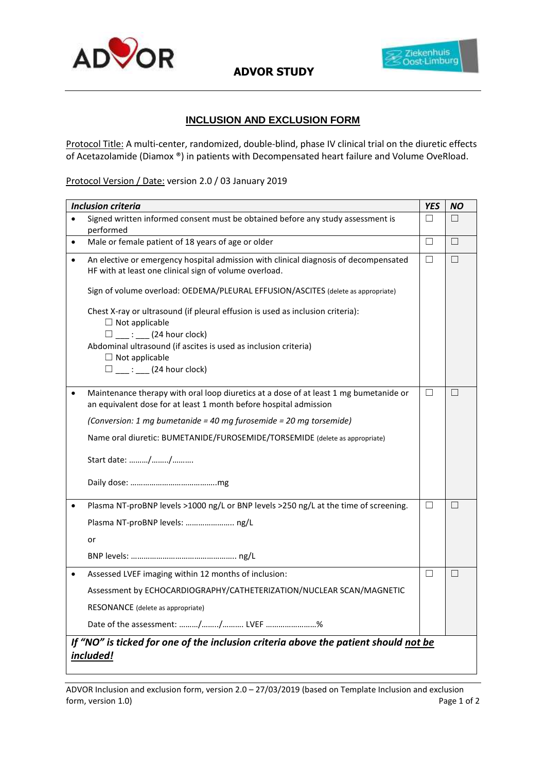

**ADVOR STUDY**



## **INCLUSION AND EXCLUSION FORM**

Protocol Title: A multi-center, randomized, double-blind, phase IV clinical trial on the diuretic effects of Acetazolamide (Diamox ®) in patients with Decompensated heart failure and Volume OveRload.

Protocol Version / Date: version 2.0 / 03 January 2019

| <b>Inclusion criteria</b> |                                                                                                                                                                      | <b>YES</b> | <b>NO</b> |  |  |
|---------------------------|----------------------------------------------------------------------------------------------------------------------------------------------------------------------|------------|-----------|--|--|
| $\bullet$                 | Signed written informed consent must be obtained before any study assessment is<br>performed                                                                         | $\Box$     | П         |  |  |
| $\bullet$                 | Male or female patient of 18 years of age or older                                                                                                                   | П          | $\Box$    |  |  |
|                           | An elective or emergency hospital admission with clinical diagnosis of decompensated<br>HF with at least one clinical sign of volume overload.                       | П          | $\Box$    |  |  |
|                           | Sign of volume overload: OEDEMA/PLEURAL EFFUSION/ASCITES (delete as appropriate)                                                                                     |            |           |  |  |
|                           | Chest X-ray or ultrasound (if pleural effusion is used as inclusion criteria):<br>$\Box$ Not applicable                                                              |            |           |  |  |
|                           | $\Box$ : (24 hour clock)<br>Abdominal ultrasound (if ascites is used as inclusion criteria)<br>$\Box$ Not applicable<br>$\square$ $\qquad \qquad ::$ (24 hour clock) |            |           |  |  |
|                           | Maintenance therapy with oral loop diuretics at a dose of at least 1 mg bumetanide or<br>an equivalent dose for at least 1 month before hospital admission           | $\Box$     | $\Box$    |  |  |
|                           | (Conversion: 1 mg bumetanide = 40 mg furosemide = 20 mg torsemide)                                                                                                   |            |           |  |  |
|                           | Name oral diuretic: BUMETANIDE/FUROSEMIDE/TORSEMIDE (delete as appropriate)                                                                                          |            |           |  |  |
|                           | Start date: //                                                                                                                                                       |            |           |  |  |
|                           |                                                                                                                                                                      |            |           |  |  |
|                           | Plasma NT-proBNP levels >1000 ng/L or BNP levels >250 ng/L at the time of screening.                                                                                 | П          | П         |  |  |
|                           | Plasma NT-proBNP levels:  ng/L                                                                                                                                       |            |           |  |  |
|                           | or                                                                                                                                                                   |            |           |  |  |
|                           |                                                                                                                                                                      |            |           |  |  |
| $\bullet$                 | Assessed LVEF imaging within 12 months of inclusion:                                                                                                                 | □          | $\Box$    |  |  |
|                           | Assessment by ECHOCARDIOGRAPHY/CATHETERIZATION/NUCLEAR SCAN/MAGNETIC                                                                                                 |            |           |  |  |
|                           | RESONANCE (delete as appropriate)                                                                                                                                    |            |           |  |  |
|                           | Date of the assessment: // LVEF %                                                                                                                                    |            |           |  |  |
|                           | If "NO" is ticked for one of the inclusion criteria above the patient should not be<br>included!                                                                     |            |           |  |  |

ADVOR Inclusion and exclusion form, version 2.0 – 27/03/2019 (based on Template Inclusion and exclusion form, version 1.0) Page 1 of 2